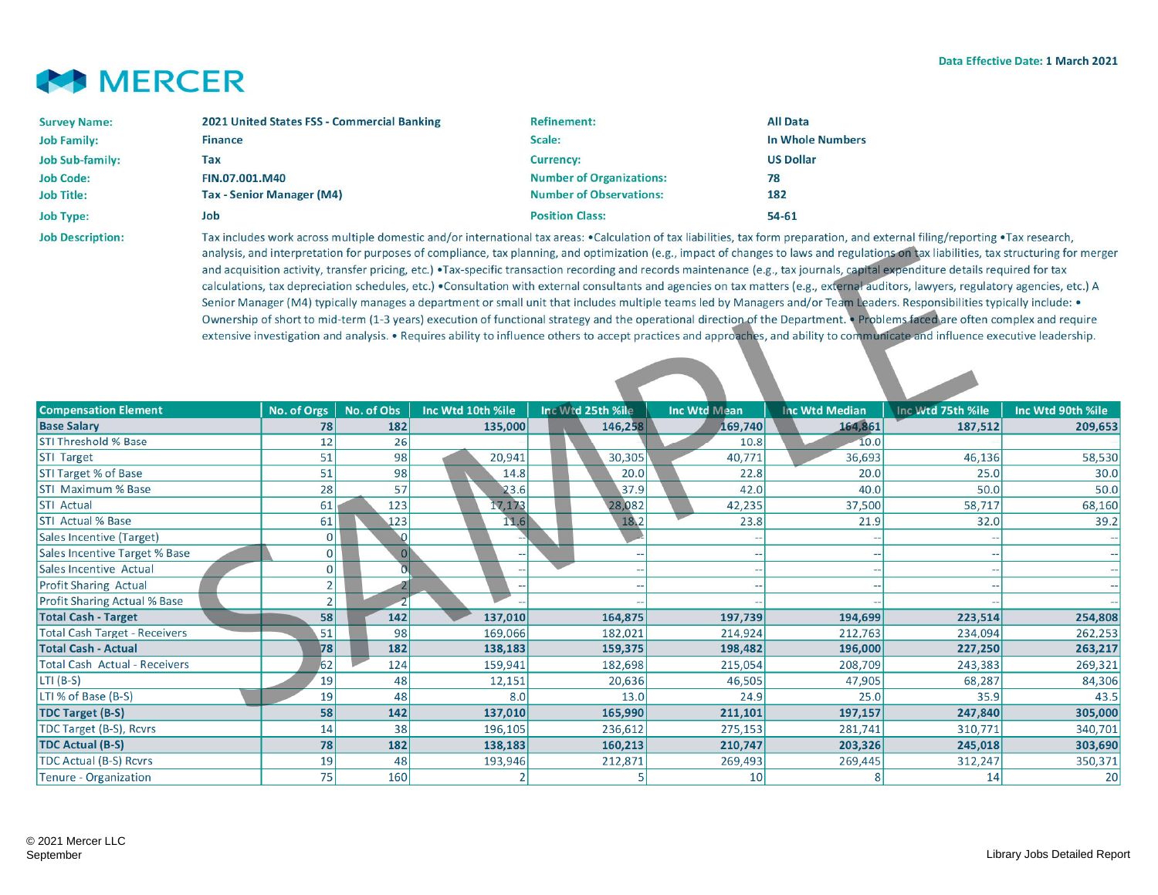

| <b>Survey Name:</b>     | 2021 United States FSS - Commercial Banking                                                                                                | <b>Refinement:</b>              | <b>All Data</b>  |  |  |  |
|-------------------------|--------------------------------------------------------------------------------------------------------------------------------------------|---------------------------------|------------------|--|--|--|
| <b>Job Family:</b>      | <b>Finance</b>                                                                                                                             | Scale:                          | In Whole Numbers |  |  |  |
| <b>Job Sub-family:</b>  | Tax                                                                                                                                        | <b>Currency:</b>                | <b>US Dollar</b> |  |  |  |
| <b>Job Code:</b>        | FIN.07.001.M40                                                                                                                             | <b>Number of Organizations:</b> | 78               |  |  |  |
| <b>Job Title:</b>       | <b>Tax - Senior Manager (M4)</b>                                                                                                           | <b>Number of Observations:</b>  | 182              |  |  |  |
| <b>Job Type:</b>        | Job                                                                                                                                        | <b>Position Class:</b>          | $54 - 61$        |  |  |  |
| <b>Job Description:</b> | Tax includes work across multiple domestic and/or international tax areas: •Calculation of tax liabilities, tax form preparation, and exte |                                 |                  |  |  |  |

Tax includes work across multiple domestic and/or international tax areas: •Calculation of tax liabilities, tax form preparation, and external filing/reporting •Tax research, analysis, and interpretation for purposes of compliance, tax planning, and optimization (e.g., impact of changes to laws and regulations on tax liabilities, tax structuring for merger and acquisition activity, transfer pricing, etc.) •Tax-specific transaction recording and records maintenance (e.g., tax journals, capital expenditure details required for tax calculations, tax depreciation schedules, etc.) •Consultation with external consultants and agencies on tax matters (e.g., external auditors, lawyers, regulatory agencies, etc.) A Senior Manager (M4) typically manages a department or small unit that includes multiple teams led by Managers and/or Team Leaders. Responsibilities typically include: • Ownership of short to mid-term (1-3 years) execution of functional strategy and the operational direction of the Department. • Problems faced are often complex and require extensive investigation and analysis. • Requires ability to influence others to accept practices and approaches, and ability to communicate and influence executive leadership.

| <b>Compensation Element</b>          | No. of Orgs    | No. of Obs | Inc Wtd 10th %ile        | Inc Wtd 25th %ile | Inc Wtd Mean | <b>Inc Wtd Median</b> | Inc Wtd 75th %ile | Inc Wtd 90th %ile |
|--------------------------------------|----------------|------------|--------------------------|-------------------|--------------|-----------------------|-------------------|-------------------|
| <b>Base Salary</b>                   | 78             | 182        | 135,000                  | 146,258           | 169,740      | 164,861               | 187,512           | 209,653           |
| <b>STI Threshold % Base</b>          | 12             | 26         |                          |                   | 10.8         | 10.0                  |                   |                   |
| <b>STI Target</b>                    | 51             | 98         | 20,941                   | 30,305            | 40,771       | 36,693                | 46,136            | 58,530            |
| <b>STI Target % of Base</b>          | 51             | 98         | 14.8                     | 20.0              | 22.8         | 20.0                  | 25.0              | 30.0              |
| <b>STI Maximum % Base</b>            | 28             | 57         | 23.6                     | 37.9              | 42.0         | 40.0                  | 50.0              | 50.0              |
| <b>STI Actual</b>                    | 61             | 123        | 17,173                   | 28,082            | 42,235       | 37,500                | 58,717            | 68,160            |
| <b>STI Actual % Base</b>             | 61             | 123        | 11.6                     | 18.2              | 23.8         | 21.9                  | 32.0              | 39.2              |
| Sales Incentive (Target)             | 0              | $\Omega$   |                          |                   |              |                       |                   |                   |
| Sales Incentive Target % Base        | $\overline{0}$ | 0          |                          | --                | $-$          |                       | $-1$              |                   |
| Sales Incentive Actual               | $\mathbf{0}$   |            |                          |                   |              |                       |                   |                   |
| <b>Profit Sharing Actual</b>         | 2 <sub>1</sub> |            | $\overline{\phantom{m}}$ | --                |              |                       | a.                |                   |
| <b>Profit Sharing Actual % Base</b>  | 2 <sub>1</sub> |            |                          |                   |              |                       |                   |                   |
| <b>Total Cash - Target</b>           | 58             | 142        | 137,010                  | 164,875           | 197,739      | 194,699               | 223,514           | 254,808           |
| <b>Total Cash Target - Receivers</b> | 51             | 98         | 169,066                  | 182,021           | 214,924      | 212,763               | 234,094           | 262,253           |
| <b>Total Cash - Actual</b>           | 78             | 182        | 138,183                  | 159,375           | 198,482      | 196,000               | 227,250           | 263,217           |
| <b>Total Cash Actual - Receivers</b> | 62             | 124        | 159,941                  | 182,698           | 215,054      | 208,709               | 243,383           | 269,321           |
| $LTI(B-S)$                           | 19             | 48         | 12,151                   | 20,636            | 46,505       | 47,905                | 68,287            | 84,306            |
| LTI % of Base (B-S)                  | 19             | 48         | 8.0                      | 13.0              | 24.9         | 25.0                  | 35.9              | 43.5              |
| <b>TDC Target (B-S)</b>              | 58             | 142        | 137,010                  | 165,990           | 211,101      | 197,157               | 247,840           | 305,000           |
| TDC Target (B-S), Rcvrs              | 14             | 38         | 196,105                  | 236,612           | 275,153      | 281,741               | 310,771           | 340,701           |
| <b>TDC Actual (B-S)</b>              | 78             | 182        | 138,183                  | 160,213           | 210,747      | 203,326               | 245,018           | 303,690           |
| TDC Actual (B-S) Rcvrs               | 19             | 48         | 193,946                  | 212,871           | 269,493      | 269,445               | 312,247           | 350,371           |
| Tenure - Organization                | 75             | 160        |                          |                   | 10           |                       | 14                | 20                |